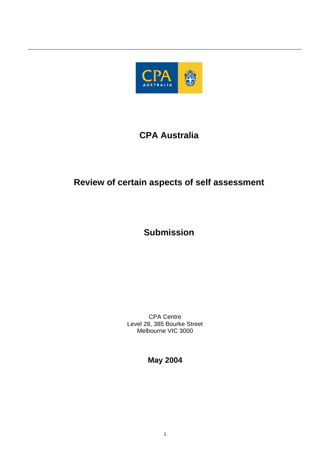

# **CPA Australia**

# **Review of certain aspects of self assessment**

# **Submission**

CPA Centre Level 28, 385 Bourke Street Melbourne VIC 3000

**May 2004**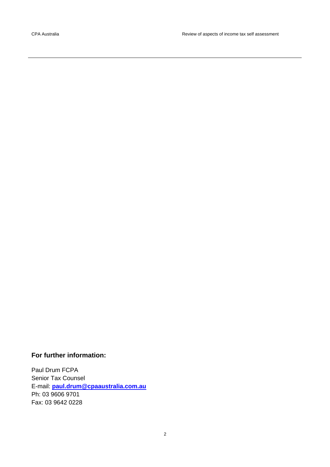# **For further information:**

Paul Drum FCPA Senior Tax Counsel E-mail: **[paul.drum@cpaaustralia.com.au](mailto:paul.drum@cpaaustralia.com.au)** Ph: 03 9606 9701 Fax: 03 9642 0228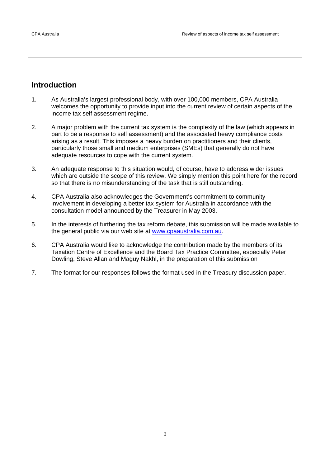# **Introduction**

- 1. As Australia's largest professional body, with over 100,000 members, CPA Australia welcomes the opportunity to provide input into the current review of certain aspects of the income tax self assessment regime.
- 2. A major problem with the current tax system is the complexity of the law (which appears in part to be a response to self assessment) and the associated heavy compliance costs arising as a result. This imposes a heavy burden on practitioners and their clients, particularly those small and medium enterprises (SMEs) that generally do not have adequate resources to cope with the current system.
- 3. An adequate response to this situation would, of course, have to address wider issues which are outside the scope of this review. We simply mention this point here for the record so that there is no misunderstanding of the task that is still outstanding.
- 4. CPA Australia also acknowledges the Government's commitment to community involvement in developing a better tax system for Australia in accordance with the consultation model announced by the Treasurer in May 2003.
- 5. In the interests of furthering the tax reform debate, this submission will be made available to the general public via our web site at [www.cpaaustralia.com.au.](http://www.cpaaustralia.com.au/)
- 6. CPA Australia would like to acknowledge the contribution made by the members of its Taxation Centre of Excellence and the Board Tax Practice Committee, especially Peter Dowling, Steve Allan and Maguy Nakhl, in the preparation of this submission
- 7. The format for our responses follows the format used in the Treasury discussion paper.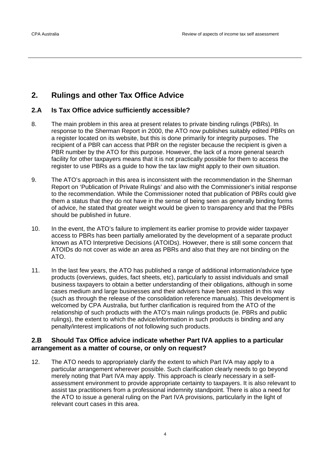# **2. Rulings and other Tax Office Advice**

# **2.A Is Tax Office advice sufficiently accessible?**

- 8. The main problem in this area at present relates to private binding rulings (PBRs). In response to the Sherman Report in 2000, the ATO now publishes suitably edited PBRs on a register located on its website, but this is done primarily for integrity purposes. The recipient of a PBR can access that PBR on the register because the recipient is given a PBR number by the ATO for this purpose. However, the lack of a more general search facility for other taxpayers means that it is not practically possible for them to access the register to use PBRs as a guide to how the tax law might apply to their own situation.
- 9. The ATO's approach in this area is inconsistent with the recommendation in the Sherman Report on 'Publication of Private Rulings' and also with the Commissioner's initial response to the recommendation. While the Commissioner noted that publication of PBRs could give them a status that they do not have in the sense of being seen as generally binding forms of advice, he stated that greater weight would be given to transparency and that the PBRs should be published in future.
- 10. In the event, the ATO's failure to implement its earlier promise to provide wider taxpayer access to PBRs has been partially ameliorated by the development of a separate product known as ATO Interpretive Decisions (ATOIDs). However, there is still some concern that ATOIDs do not cover as wide an area as PBRs and also that they are not binding on the ATO.
- 11. In the last few years, the ATO has published a range of additional information/advice type products (overviews, guides, fact sheets, etc), particularly to assist individuals and small business taxpayers to obtain a better understanding of their obligations, although in some cases medium and large businesses and their advisers have been assisted in this way (such as through the release of the consolidation reference manuals). This development is welcomed by CPA Australia, but further clarification is required from the ATO of the relationship of such products with the ATO's main rulings products (ie. PBRs and public rulings), the extent to which the advice/information in such products is binding and any penalty/interest implications of not following such products.

# **2.B Should Tax Office advice indicate whether Part IVA applies to a particular arrangement as a matter of course, or only on request?**

12. The ATO needs to appropriately clarify the extent to which Part IVA may apply to a particular arrangement wherever possible. Such clarification clearly needs to go beyond merely noting that Part IVA may apply. This approach is clearly necessary in a selfassessment environment to provide appropriate certainty to taxpayers. It is also relevant to assist tax practitioners from a professional indemnity standpoint. There is also a need for the ATO to issue a general ruling on the Part IVA provisions, particularly in the light of relevant court cases in this area.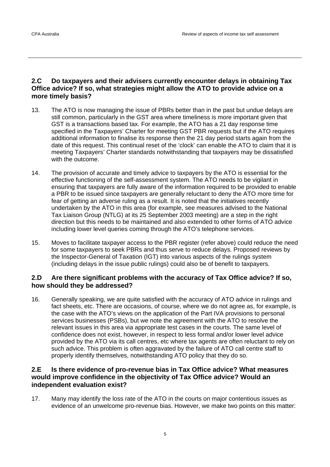# **2.C Do taxpayers and their advisers currently encounter delays in obtaining Tax Office advice? If so, what strategies might allow the ATO to provide advice on a more timely basis?**

- 13. The ATO is now managing the issue of PBRs better than in the past but undue delays are still common, particularly in the GST area where timeliness is more important given that GST is a transactions based tax. For example, the ATO has a 21 day response time specified in the Taxpayers' Charter for meeting GST PBR requests but if the ATO requires additional information to finalise its response then the 21 day period starts again from the date of this request. This continual reset of the 'clock' can enable the ATO to claim that it is meeting Taxpayers' Charter standards notwithstanding that taxpayers may be dissatisfied with the outcome.
- 14. The provision of accurate and timely advice to taxpayers by the ATO is essential for the effective functioning of the self-assessment system. The ATO needs to be vigilant in ensuring that taxpayers are fully aware of the information required to be provided to enable a PBR to be issued since taxpayers are generally reluctant to deny the ATO more time for fear of getting an adverse ruling as a result. It is noted that the initiatives recently undertaken by the ATO in this area (for example, see measures advised to the National Tax Liaison Group (NTLG) at its 25 September 2003 meeting) are a step in the right direction but this needs to be maintained and also extended to other forms of ATO advice including lower level queries coming through the ATO's telephone services.
- 15. Moves to facilitate taxpayer access to the PBR register (refer above) could reduce the need for some taxpayers to seek PBRs and thus serve to reduce delays. Proposed reviews by the Inspector-General of Taxation (IGT) into various aspects of the rulings system (including delays in the issue public rulings) could also be of benefit to taxpayers.

# **2.D Are there significant problems with the accuracy of Tax Office advice? If so, how should they be addressed?**

16. Generally speaking, we are quite satisfied with the accuracy of ATO advice in rulings and fact sheets, etc. There are occasions, of course, where we do not agree as, for example, is the case with the ATO's views on the application of the Part IVA provisions to personal services businesses (PSBs), but we note the agreement with the ATO to resolve the relevant issues in this area via appropriate test cases in the courts. The same level of confidence does not exist, however, in respect to less formal and/or lower level advice provided by the ATO via its call centres, etc where tax agents are often reluctant to rely on such advice. This problem is often aggravated by the failure of ATO call centre staff to properly identify themselves, notwithstanding ATO policy that they do so.

# **2.E Is there evidence of pro-revenue bias in Tax Office advice? What measures would improve confidence in the objectivity of Tax Office advice? Would an independent evaluation exist?**

17. Many may identify the loss rate of the ATO in the courts on major contentious issues as evidence of an unwelcome pro-revenue bias. However, we make two points on this matter: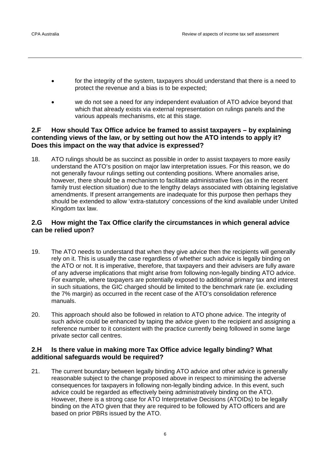- for the integrity of the system, taxpayers should understand that there is a need to protect the revenue and a bias is to be expected;
- we do not see a need for any independent evaluation of ATO advice beyond that which that already exists via external representation on rulings panels and the various appeals mechanisms, etc at this stage.

# **2.F How should Tax Office advice be framed to assist taxpayers – by explaining contending views of the law, or by setting out how the ATO intends to apply it? Does this impact on the way that advice is expressed?**

18. ATO rulings should be as succinct as possible in order to assist taxpayers to more easily understand the ATO's position on major law interpretation issues. For this reason, we do not generally favour rulings setting out contending positions. Where anomalies arise, however, there should be a mechanism to facilitate administrative fixes (as in the recent family trust election situation) due to the lengthy delays associated with obtaining legislative amendments. If present arrangements are inadequate for this purpose then perhaps they should be extended to allow 'extra-statutory' concessions of the kind available under United Kingdom tax law.

# **2.G How might the Tax Office clarify the circumstances in which general advice can be relied upon?**

- 19. The ATO needs to understand that when they give advice then the recipients will generally rely on it. This is usually the case regardless of whether such advice is legally binding on the ATO or not. It is imperative, therefore, that taxpayers and their advisers are fully aware of any adverse implications that might arise from following non-legally binding ATO advice. For example, where taxpayers are potentially exposed to additional primary tax and interest in such situations, the GIC charged should be limited to the benchmark rate (ie. excluding the 7% margin) as occurred in the recent case of the ATO's consolidation reference manuals.
- 20. This approach should also be followed in relation to ATO phone advice. The integrity of such advice could be enhanced by taping the advice given to the recipient and assigning a reference number to it consistent with the practice currently being followed in some large private sector call centres.

# **2.H Is there value in making more Tax Office advice legally binding? What additional safeguards would be required?**

21. The current boundary between legally binding ATO advice and other advice is generally reasonable subject to the change proposed above in respect to minimising the adverse consequences for taxpayers in following non-legally binding advice. In this event, such advice could be regarded as effectively being administratively binding on the ATO. However, there is a strong case for ATO Interpretative Decisions (ATOIDs) to be legally binding on the ATO given that they are required to be followed by ATO officers and are based on prior PBRs issued by the ATO.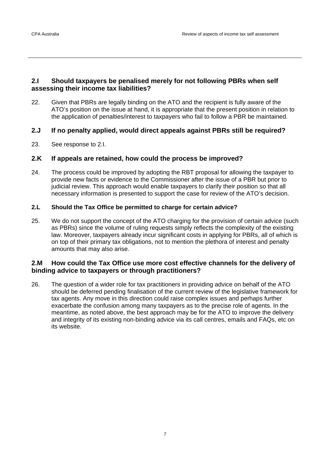#### **2.I Should taxpayers be penalised merely for not following PBRs when self assessing their income tax liabilities?**

22. Given that PBRs are legally binding on the ATO and the recipient is fully aware of the ATO's position on the issue at hand, it is appropriate that the present position in relation to the application of penalties/interest to taxpayers who fail to follow a PBR be maintained.

#### **2.J If no penalty applied, would direct appeals against PBRs still be required?**

23. See response to 2.I.

#### **2.K If appeals are retained, how could the process be improved?**

24. The process could be improved by adopting the RBT proposal for allowing the taxpayer to provide new facts or evidence to the Commissioner after the issue of a PBR but prior to judicial review. This approach would enable taxpayers to clarify their position so that all necessary information is presented to support the case for review of the ATO's decision.

#### **2.L Should the Tax Office be permitted to charge for certain advice?**

25. We do not support the concept of the ATO charging for the provision of certain advice (such as PBRs) since the volume of ruling requests simply reflects the complexity of the existing law. Moreover, taxpayers already incur significant costs in applying for PBRs, all of which is on top of their primary tax obligations, not to mention the plethora of interest and penalty amounts that may also arise.

#### **2.M How could the Tax Office use more cost effective channels for the delivery of binding advice to taxpayers or through practitioners?**

26. The question of a wider role for tax practitioners in providing advice on behalf of the ATO should be deferred pending finalisation of the current review of the legislative framework for tax agents. Any move in this direction could raise complex issues and perhaps further exacerbate the confusion among many taxpayers as to the precise role of agents. In the meantime, as noted above, the best approach may be for the ATO to improve the delivery and integrity of its existing non-binding advice via its call centres, emails and FAQs, etc on its website.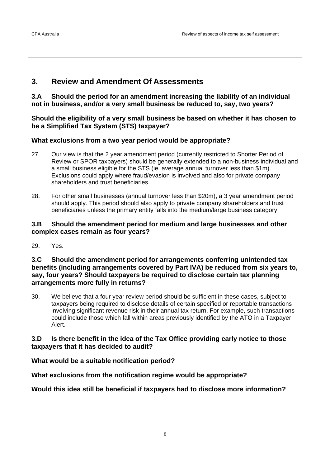# **3. Review and Amendment Of Assessments**

**3.A Should the period for an amendment increasing the liability of an individual not in business, and/or a very small business be reduced to, say, two years?** 

**Should the eligibility of a very small business be based on whether it has chosen to be a Simplified Tax System (STS) taxpayer?** 

# **What exclusions from a two year period would be appropriate?**

- 27. Our view is that the 2 year amendment period (currently restricted to Shorter Period of Review or SPOR taxpayers) should be generally extended to a non-business individual and a small business eligible for the STS (ie. average annual turnover less than \$1m). Exclusions could apply where fraud/evasion is involved and also for private company shareholders and trust beneficiaries.
- 28. For other small businesses (annual turnover less than \$20m), a 3 year amendment period should apply. This period should also apply to private company shareholders and trust beneficiaries unless the primary entity falls into the medium/large business category.

# **3.B Should the amendment period for medium and large businesses and other complex cases remain as four years?**

29. Yes.

#### **3.C Should the amendment period for arrangements conferring unintended tax benefits (including arrangements covered by Part IVA) be reduced from six years to, say, four years? Should taxpayers be required to disclose certain tax planning arrangements more fully in returns?**

30. We believe that a four year review period should be sufficient in these cases, subject to taxpayers being required to disclose details of certain specified or reportable transactions involving significant revenue risk in their annual tax return. For example, such transactions could include those which fall within areas previously identified by the ATO in a Taxpayer Alert.

# **3.D Is there benefit in the idea of the Tax Office providing early notice to those taxpayers that it has decided to audit?**

# **What would be a suitable notification period?**

# **What exclusions from the notification regime would be appropriate?**

# **Would this idea still be beneficial if taxpayers had to disclose more information?**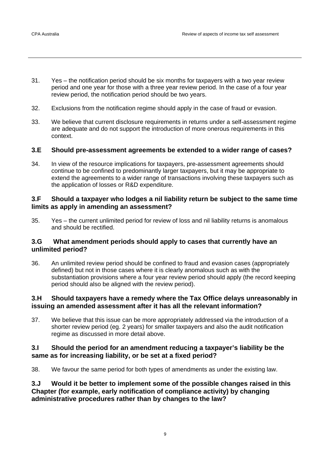- 31. Yes the notification period should be six months for taxpayers with a two year review period and one year for those with a three year review period. In the case of a four year review period, the notification period should be two years.
- 32. Exclusions from the notification regime should apply in the case of fraud or evasion.
- 33. We believe that current disclosure requirements in returns under a self-assessment regime are adequate and do not support the introduction of more onerous requirements in this context.

#### **3.E Should pre-assessment agreements be extended to a wider range of cases?**

34. In view of the resource implications for taxpayers, pre-assessment agreements should continue to be confined to predominantly larger taxpayers, but it may be appropriate to extend the agreements to a wider range of transactions involving these taxpayers such as the application of losses or R&D expenditure.

#### **3.F Should a taxpayer who lodges a nil liability return be subject to the same time limits as apply in amending an assessment?**

35. Yes – the current unlimited period for review of loss and nil liability returns is anomalous and should be rectified.

#### **3.G What amendment periods should apply to cases that currently have an unlimited period?**

36. An unlimited review period should be confined to fraud and evasion cases (appropriately defined) but not in those cases where it is clearly anomalous such as with the substantiation provisions where a four year review period should apply (the record keeping period should also be aligned with the review period).

#### **3.H Should taxpayers have a remedy where the Tax Office delays unreasonably in issuing an amended assessment after it has all the relevant information?**

37. We believe that this issue can be more appropriately addressed via the introduction of a shorter review period (eg. 2 years) for smaller taxpayers and also the audit notification regime as discussed in more detail above.

#### **3.I Should the period for an amendment reducing a taxpayer's liability be the same as for increasing liability, or be set at a fixed period?**

38. We favour the same period for both types of amendments as under the existing law.

**3.J Would it be better to implement some of the possible changes raised in this Chapter (for example, early notification of compliance activity) by changing administrative procedures rather than by changes to the law?**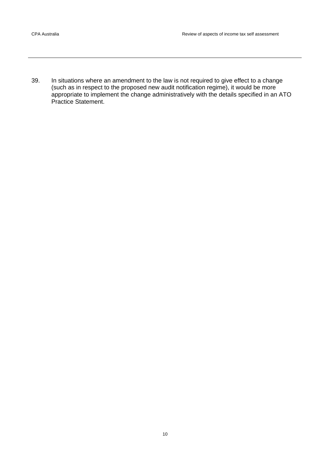39. In situations where an amendment to the law is not required to give effect to a change (such as in respect to the proposed new audit notification regime), it would be more appropriate to implement the change administratively with the details specified in an ATO Practice Statement.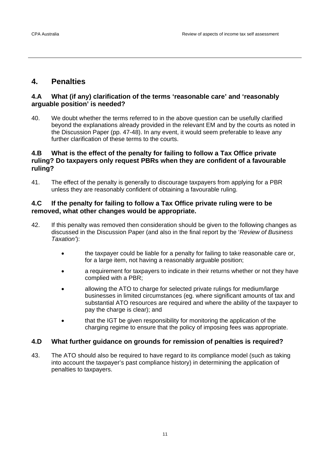# **4. Penalties**

### **4.A What (if any) clarification of the terms 'reasonable care' and 'reasonably arguable position' is needed?**

40. We doubt whether the terms referred to in the above question can be usefully clarified beyond the explanations already provided in the relevant EM and by the courts as noted in the Discussion Paper (pp. 47-48). In any event, it would seem preferable to leave any further clarification of these terms to the courts.

# **4.B What is the effect of the penalty for failing to follow a Tax Office private ruling? Do taxpayers only request PBRs when they are confident of a favourable ruling?**

41. The effect of the penalty is generally to discourage taxpayers from applying for a PBR unless they are reasonably confident of obtaining a favourable ruling.

# **4.C If the penalty for failing to follow a Tax Office private ruling were to be removed, what other changes would be appropriate.**

- 42. If this penalty was removed then consideration should be given to the following changes as discussed in the Discussion Paper (and also in the final report by the '*Review of Business Taxation'*):
	- the taxpayer could be liable for a penalty for failing to take reasonable care or, for a large item, not having a reasonably arguable position;
	- a requirement for taxpayers to indicate in their returns whether or not they have complied with a PBR;
	- allowing the ATO to charge for selected private rulings for medium/large businesses in limited circumstances (eg. where significant amounts of tax and substantial ATO resources are required and where the ability of the taxpayer to pay the charge is clear); and
	- that the IGT be given responsibility for monitoring the application of the charging regime to ensure that the policy of imposing fees was appropriate.

# **4.D What further guidance on grounds for remission of penalties is required?**

43. The ATO should also be required to have regard to its compliance model (such as taking into account the taxpayer's past compliance history) in determining the application of penalties to taxpayers.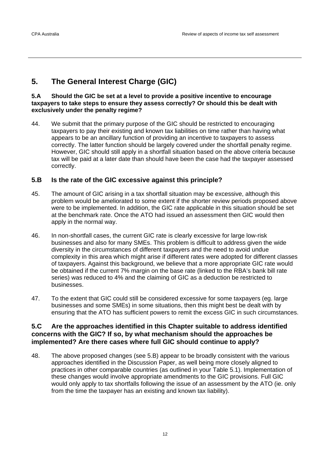# **5. The General Interest Charge (GIC)**

#### **5.A Should the GIC be set at a level to provide a positive incentive to encourage taxpayers to take steps to ensure they assess correctly? Or should this be dealt with exclusively under the penalty regime?**

44. We submit that the primary purpose of the GIC should be restricted to encouraging taxpayers to pay their existing and known tax liabilities on time rather than having what appears to be an ancillary function of providing an incentive to taxpayers to assess correctly. The latter function should be largely covered under the shortfall penalty regime. However, GIC should still apply in a shortfall situation based on the above criteria because tax will be paid at a later date than should have been the case had the taxpayer assessed correctly.

# **5.B Is the rate of the GIC excessive against this principle?**

- 45. The amount of GIC arising in a tax shortfall situation may be excessive, although this problem would be ameliorated to some extent if the shorter review periods proposed above were to be implemented. In addition, the GIC rate applicable in this situation should be set at the benchmark rate. Once the ATO had issued an assessment then GIC would then apply in the normal way.
- 46. In non-shortfall cases, the current GIC rate is clearly excessive for large low-risk businesses and also for many SMEs. This problem is difficult to address given the wide diversity in the circumstances of different taxpayers and the need to avoid undue complexity in this area which might arise if different rates were adopted for different classes of taxpayers. Against this background, we believe that a more appropriate GIC rate would be obtained if the current 7% margin on the base rate (linked to the RBA's bank bill rate series) was reduced to 4% and the claiming of GIC as a deduction be restricted to businesses.
- 47. To the extent that GIC could still be considered excessive for some taxpayers (eg. large businesses and some SMEs) in some situations, then this might best be dealt with by ensuring that the ATO has sufficient powers to remit the excess GIC in such circumstances.

#### **5.C Are the approaches identified in this Chapter suitable to address identified concerns with the GIC? If so, by what mechanism should the approaches be implemented? Are there cases where full GIC should continue to apply?**

48. The above proposed changes (see 5.B) appear to be broadly consistent with the various approaches identified in the Discussion Paper, as well being more closely aligned to practices in other comparable countries (as outlined in your Table 5.1). Implementation of these changes would involve appropriate amendments to the GIC provisions. Full GIC would only apply to tax shortfalls following the issue of an assessment by the ATO (ie. only from the time the taxpayer has an existing and known tax liability).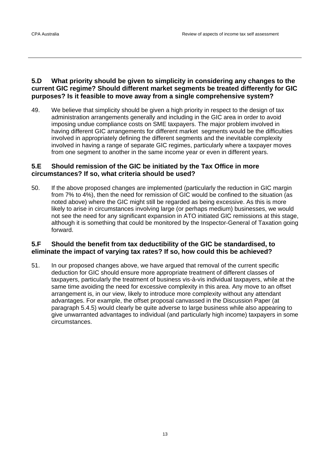# **5.D What priority should be given to simplicity in considering any changes to the current GIC regime? Should different market segments be treated differently for GIC purposes? Is it feasible to move away from a single comprehensive system?**

49. We believe that simplicity should be given a high priority in respect to the design of tax administration arrangements generally and including in the GIC area in order to avoid imposing undue compliance costs on SME taxpayers. The major problem involved in having different GIC arrangements for different market segments would be the difficulties involved in appropriately defining the different segments and the inevitable complexity involved in having a range of separate GIC regimes, particularly where a taxpayer moves from one segment to another in the same income year or even in different years.

# **5.E Should remission of the GIC be initiated by the Tax Office in more circumstances? If so, what criteria should be used?**

50. If the above proposed changes are implemented (particularly the reduction in GIC margin from 7% to 4%), then the need for remission of GIC would be confined to the situation (as noted above) where the GIC might still be regarded as being excessive. As this is more likely to arise in circumstances involving large (or perhaps medium) businesses, we would not see the need for any significant expansion in ATO initiated GIC remissions at this stage, although it is something that could be monitored by the Inspector-General of Taxation going forward.

# **5.F Should the benefit from tax deductibility of the GIC be standardised, to eliminate the impact of varying tax rates? If so, how could this be achieved?**

51. In our proposed changes above, we have argued that removal of the current specific deduction for GIC should ensure more appropriate treatment of different classes of taxpayers, particularly the treatment of business vis-à-vis individual taxpayers, while at the same time avoiding the need for excessive complexity in this area. Any move to an offset arrangement is, in our view, likely to introduce more complexity without any attendant advantages. For example, the offset proposal canvassed in the Discussion Paper (at paragraph 5.4.5) would clearly be quite adverse to large business while also appearing to give unwarranted advantages to individual (and particularly high income) taxpayers in some circumstances.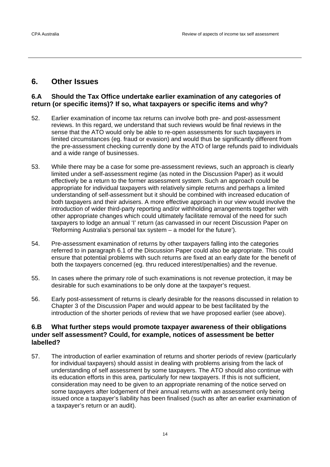# **6. Other Issues**

### **6.A Should the Tax Office undertake earlier examination of any categories of return (or specific items)? If so, what taxpayers or specific items and why?**

- 52. Earlier examination of income tax returns can involve both pre- and post-assessment reviews. In this regard, we understand that such reviews would be final reviews in the sense that the ATO would only be able to re-open assessments for such taxpayers in limited circumstances (eg. fraud or evasion) and would thus be significantly different from the pre-assessment checking currently done by the ATO of large refunds paid to individuals and a wide range of businesses.
- 53. While there may be a case for some pre-assessment reviews, such an approach is clearly limited under a self-assessment regime (as noted in the Discussion Paper) as it would effectively be a return to the former assessment system. Such an approach could be appropriate for individual taxpayers with relatively simple returns and perhaps a limited understanding of self-assessment but it should be combined with increased education of both taxpayers and their advisers. A more effective approach in our view would involve the introduction of wider third-party reporting and/or withholding arrangements together with other appropriate changes which could ultimately facilitate removal of the need for such taxpayers to lodge an annual 'I' return (as canvassed in our recent Discussion Paper on 'Reforming Australia's personal tax system – a model for the future').
- 54. Pre-assessment examination of returns by other taxpayers falling into the categories referred to in paragraph 6.1 of the Discussion Paper could also be appropriate. This could ensure that potential problems with such returns are fixed at an early date for the benefit of both the taxpayers concerned (eg. thru reduced interest/penalties) and the revenue.
- 55. In cases where the primary role of such examinations is not revenue protection, it may be desirable for such examinations to be only done at the taxpayer's request.
- 56. Early post-assessment of returns is clearly desirable for the reasons discussed in relation to Chapter 3 of the Discussion Paper and would appear to be best facilitated by the introduction of the shorter periods of review that we have proposed earlier (see above).

### **6.B What further steps would promote taxpayer awareness of their obligations under self assessment? Could, for example, notices of assessment be better labelled?**

57. The introduction of earlier examination of returns and shorter periods of review (particularly for individual taxpayers) should assist in dealing with problems arising from the lack of understanding of self assessment by some taxpayers. The ATO should also continue with its education efforts in this area, particularly for new taxpayers. If this is not sufficient, consideration may need to be given to an appropriate renaming of the notice served on some taxpayers after lodgement of their annual returns with an assessment only being issued once a taxpayer's liability has been finalised (such as after an earlier examination of a taxpayer's return or an audit).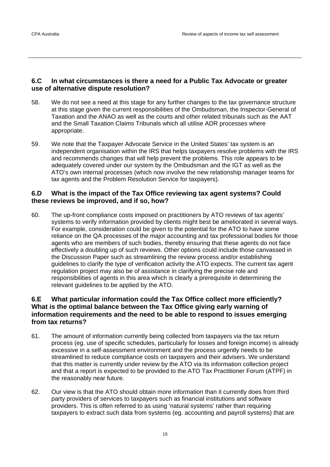### **6.C In what circumstances is there a need for a Public Tax Advocate or greater use of alternative dispute resolution?**

- 58. We do not see a need at this stage for any further changes to the tax governance structure at this stage given the current responsibilities of the Ombudsman, the Inspector-General of Taxation and the ANAO as well as the courts and other related tribunals such as the AAT and the Small Taxation Claims Tribunals which all utilise ADR processes where appropriate.
- 59. We note that the Taxpayer Advocate Service in the United States' tax system is an independent organisation within the IRS that helps taxpayers resolve problems with the IRS and recommends changes that will help prevent the problems. This role appears to be adequately covered under our system by the Ombudsman and the IGT as well as the ATO's own internal processes (which now involve the new relationship manager teams for tax agents and the Problem Resolution Service for taxpayers).

# **6.D What is the impact of the Tax Office reviewing tax agent systems? Could these reviews be improved, and if so, how?**

60. The up-front compliance costs imposed on practitioners by ATO reviews of tax agents' systems to verify information provided by clients might best be ameliorated in several ways. For example, consideration could be given to the potential for the ATO to have some reliance on the QA processes of the major accounting and tax professional bodies for those agents who are members of such bodies, thereby ensuring that these agents do not face effectively a doubling up of such reviews. Other options could include those canvassed in the Discussion Paper such as streamlining the review process and/or establishing guidelines to clarify the type of verification activity the ATO expects. The current tax agent regulation project may also be of assistance in clarifying the precise role and responsibilities of agents in this area which is clearly a prerequisite in determining the relevant guidelines to be applied by the ATO.

# **6.E What particular information could the Tax Office collect more efficiently? What is the optimal balance between the Tax Office giving early warning of information requirements and the need to be able to respond to issues emerging from tax returns?**

- 61. The amount of information currently being collected from taxpayers via the tax return process (eg. use of specific schedules, particularly for losses and foreign income) is already excessive in a self-assessment environment and the process urgently needs to be streamlined to reduce compliance costs on taxpayers and their advisers. We understand that this matter is currently under review by the ATO via its information collection project and that a report is expected to be provided to the ATO Tax Practitioner Forum (ATPF) in the reasonably near future.
- 62. Our view is that the ATO should obtain more information than it currently does from third party providers of services to taxpayers such as financial institutions and software providers. This is often referred to as using 'natural systems' rather than requiring taxpayers to extract such data from systems (eg. accounting and payroll systems) that are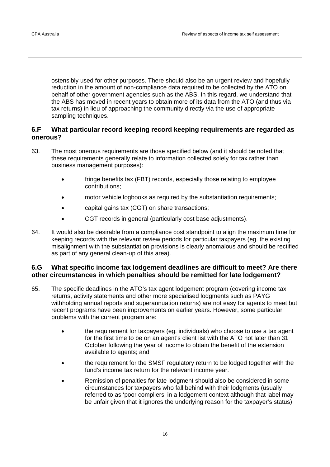ostensibly used for other purposes. There should also be an urgent review and hopefully reduction in the amount of non-compliance data required to be collected by the ATO on behalf of other government agencies such as the ABS. In this regard, we understand that the ABS has moved in recent years to obtain more of its data from the ATO (and thus via tax returns) in lieu of approaching the community directly via the use of appropriate sampling techniques.

# **6.F What particular record keeping record keeping requirements are regarded as onerous?**

- 63. The most onerous requirements are those specified below (and it should be noted that these requirements generally relate to information collected solely for tax rather than business management purposes):
	- fringe benefits tax (FBT) records, especially those relating to employee contributions;
	- motor vehicle logbooks as required by the substantiation requirements;
	- capital gains tax (CGT) on share transactions;
	- CGT records in general (particularly cost base adjustments).
- 64. It would also be desirable from a compliance cost standpoint to align the maximum time for keeping records with the relevant review periods for particular taxpayers (eg. the existing misalignment with the substantiation provisions is clearly anomalous and should be rectified as part of any general clean-up of this area).

# **6.G What specific income tax lodgement deadlines are difficult to meet? Are there other circumstances in which penalties should be remitted for late lodgement?**

- 65. The specific deadlines in the ATO's tax agent lodgement program (covering income tax returns, activity statements and other more specialised lodgments such as PAYG withholding annual reports and superannuation returns) are not easy for agents to meet but recent programs have been improvements on earlier years. However, some particular problems with the current program are:
	- the requirement for taxpayers (eg. individuals) who choose to use a tax agent for the first time to be on an agent's client list with the ATO not later than 31 October following the year of income to obtain the benefit of the extension available to agents; and
	- the requirement for the SMSF regulatory return to be lodged together with the fund's income tax return for the relevant income year.
	- Remission of penalties for late lodgment should also be considered in some circumstances for taxpayers who fall behind with their lodgments (usually referred to as 'poor compliers' in a lodgement context although that label may be unfair given that it ignores the underlying reason for the taxpayer's status)